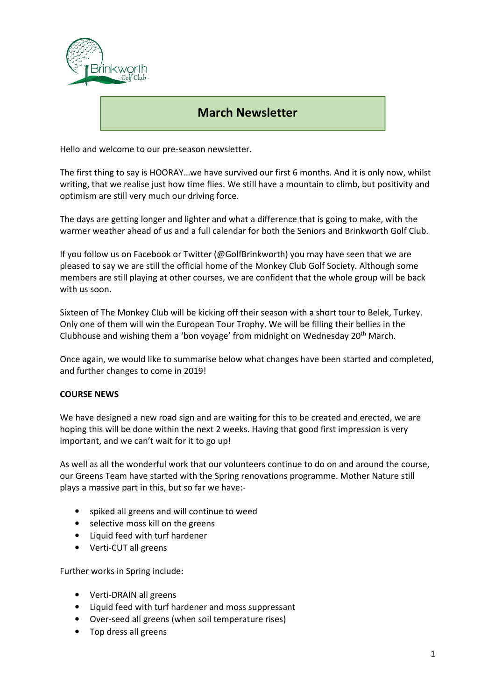

# March Newsletter

Hello and welcome to our pre-season newsletter.

The first thing to say is HOORAY…we have survived our first 6 months. And it is only now, whilst writing, that we realise just how time flies. We still have a mountain to climb, but positivity and optimism are still very much our driving force.

The days are getting longer and lighter and what a difference that is going to make, with the warmer weather ahead of us and a full calendar for both the Seniors and Brinkworth Golf Club.

If you follow us on Facebook or Twitter (@GolfBrinkworth) you may have seen that we are pleased to say we are still the official home of the Monkey Club Golf Society. Although some members are still playing at other courses, we are confident that the whole group will be back with us soon.

Sixteen of The Monkey Club will be kicking off their season with a short tour to Belek, Turkey. Only one of them will win the European Tour Trophy. We will be filling their bellies in the Clubhouse and wishing them a 'bon voyage' from midnight on Wednesday 20<sup>th</sup> March.

Once again, we would like to summarise below what changes have been started and completed, and further changes to come in 2019!

# COURSE NEWS

We have designed a new road sign and are waiting for this to be created and erected, we are hoping this will be done within the next 2 weeks. Having that good first impression is very important, and we can't wait for it to go up!

As well as all the wonderful work that our volunteers continue to do on and around the course, our Greens Team have started with the Spring renovations programme. Mother Nature still plays a massive part in this, but so far we have:-

- spiked all greens and will continue to weed
- selective moss kill on the greens
- Liquid feed with turf hardener
- Verti-CUT all greens

Further works in Spring include:

- Verti-DRAIN all greens
- Liquid feed with turf hardener and moss suppressant
- Over-seed all greens (when soil temperature rises)
- Top dress all greens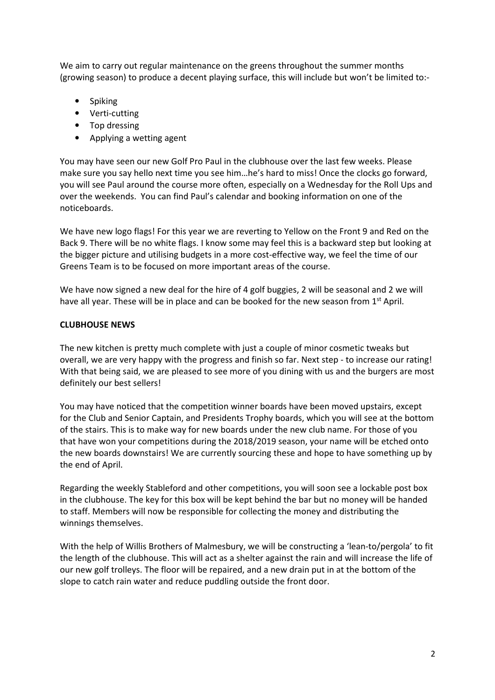We aim to carry out regular maintenance on the greens throughout the summer months (growing season) to produce a decent playing surface, this will include but won't be limited to:-

- Spiking
- Verti-cutting
- Top dressing
- Applying a wetting agent

You may have seen our new Golf Pro Paul in the clubhouse over the last few weeks. Please make sure you say hello next time you see him…he's hard to miss! Once the clocks go forward, you will see Paul around the course more often, especially on a Wednesday for the Roll Ups and over the weekends. You can find Paul's calendar and booking information on one of the noticeboards.

We have new logo flags! For this year we are reverting to Yellow on the Front 9 and Red on the Back 9. There will be no white flags. I know some may feel this is a backward step but looking at the bigger picture and utilising budgets in a more cost-effective way, we feel the time of our Greens Team is to be focused on more important areas of the course.

We have now signed a new deal for the hire of 4 golf buggies, 2 will be seasonal and 2 we will have all year. These will be in place and can be booked for the new season from  $1<sup>st</sup>$  April.

#### CLUBHOUSE NEWS

The new kitchen is pretty much complete with just a couple of minor cosmetic tweaks but overall, we are very happy with the progress and finish so far. Next step - to increase our rating! With that being said, we are pleased to see more of you dining with us and the burgers are most definitely our best sellers!

You may have noticed that the competition winner boards have been moved upstairs, except for the Club and Senior Captain, and Presidents Trophy boards, which you will see at the bottom of the stairs. This is to make way for new boards under the new club name. For those of you that have won your competitions during the 2018/2019 season, your name will be etched onto the new boards downstairs! We are currently sourcing these and hope to have something up by the end of April.

Regarding the weekly Stableford and other competitions, you will soon see a lockable post box in the clubhouse. The key for this box will be kept behind the bar but no money will be handed to staff. Members will now be responsible for collecting the money and distributing the winnings themselves.

With the help of Willis Brothers of Malmesbury, we will be constructing a 'lean-to/pergola' to fit the length of the clubhouse. This will act as a shelter against the rain and will increase the life of our new golf trolleys. The floor will be repaired, and a new drain put in at the bottom of the slope to catch rain water and reduce puddling outside the front door.